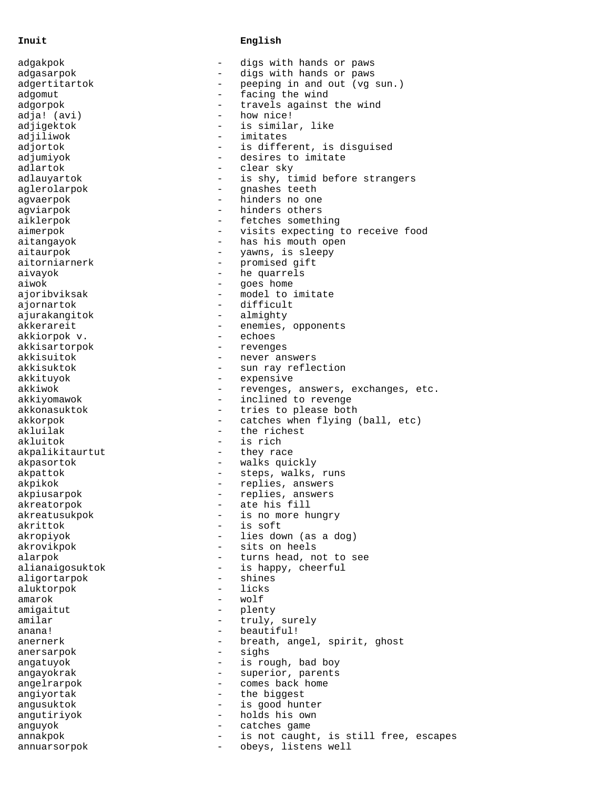## **Inuit English**

| adgakpok                    |                          | digs with hands or paws               |
|-----------------------------|--------------------------|---------------------------------------|
| adgasarpok                  | $\overline{\phantom{0}}$ | digs with hands or paws               |
| adgertitartok               | $\overline{\phantom{0}}$ | peeping in and out (vg sun.)          |
| adgomut                     | $\overline{\phantom{0}}$ | facing the wind                       |
| adgorpok                    | $\qquad \qquad -$        | travels against the wind              |
| adja! (avi)                 | $\overline{\phantom{0}}$ | how nice!                             |
| adjigektok                  |                          | is similar, like                      |
| adjiliwok                   |                          | imitates                              |
| adjortok                    |                          | is different, is disguised            |
| adjumiyok                   | $\overline{\phantom{0}}$ | desires to imitate                    |
| adlartok                    | $\equiv$                 | clear sky                             |
| adlauyartok                 | $-$                      | is shy, timid before strangers        |
| aglerolarpok                |                          | gnashes teeth                         |
| agvaerpok                   | $\overline{\phantom{0}}$ | hinders no one                        |
| agviarpok                   | $\equiv$                 | hinders others                        |
| aiklerpok                   | $\overline{\phantom{a}}$ | fetches something                     |
| aimerpok                    |                          | visits expecting to receive food      |
| aitangayok                  | $\overline{\phantom{a}}$ | has his mouth open                    |
| aitaurpok                   | $\overline{\phantom{0}}$ | yawns, is sleepy                      |
| aitorniarnerk               | $\overline{\phantom{a}}$ | promised gift                         |
| aivayok                     | $\overline{\phantom{a}}$ | he quarrels                           |
| aiwok                       | $\qquad \qquad -$        | goes home                             |
| ajoribviksak                | $\equiv$                 | model to imitate                      |
| ajornartok                  | $\qquad \qquad -$        | difficult                             |
| ajurakangitok               | $\overline{\phantom{a}}$ | almighty                              |
| akkerareit                  | $\overline{\phantom{a}}$ | enemies, opponents                    |
| akkiorpok v.                | $\overline{\phantom{0}}$ | echoes                                |
|                             | $\overline{\phantom{a}}$ |                                       |
| akkisartorpok<br>akkisuitok | $\qquad \qquad -$        | revenges                              |
| akkisuktok                  | $\overline{\phantom{0}}$ | never answers                         |
|                             | $\overline{\phantom{0}}$ | sun ray reflection                    |
| akkituyok<br>akkiwok        |                          | expensive                             |
|                             | $\overline{\phantom{0}}$ | revenges, answers, exchanges, etc.    |
| akkiyomawok                 | $\overline{\phantom{0}}$ | inclined to revenge                   |
| akkonasuktok                |                          | tries to please both                  |
| akkorpok                    | $\overline{\phantom{0}}$ | catches when flying (ball, etc)       |
| akluilak                    | $\overline{\phantom{0}}$ | the richest                           |
| akluitok                    | $-$                      | is rich                               |
| akpalikitaurtut             | $\qquad \qquad -$        | they race                             |
| akpasortok                  | $\overline{\phantom{0}}$ | walks quickly                         |
| akpattok                    | $\overline{\phantom{a}}$ | steps, walks, runs                    |
| akpikok                     | $\overline{\phantom{a}}$ | replies, answers                      |
| akpiusarpok                 | $\overline{\phantom{0}}$ | replies, answers                      |
| akreatorpok                 |                          | ate his fill                          |
| akreatusukpok               |                          | is no more hungry                     |
| akrittok                    |                          | is soft                               |
| akropiyok                   |                          | lies down (as a dog)                  |
| akrovikpok                  |                          | sits on heels                         |
| alarpok                     | $\qquad \qquad -$        | turns head, not to see                |
| alianaigosuktok             | $\overline{\phantom{a}}$ | is happy, cheerful                    |
| aligortarpok                | $\qquad \qquad -$        | shines                                |
| aluktorpok                  |                          | licks                                 |
| amarok                      | $\qquad \qquad -$        | wolf                                  |
| amigaitut                   | $\overline{\phantom{a}}$ | plenty                                |
| amilar                      |                          | truly, surely                         |
| anana!                      | $\qquad \qquad -$        | beautiful!                            |
| anernerk                    | $\overline{\phantom{a}}$ | breath, angel, spirit, ghost          |
| anersarpok                  | $\qquad \qquad =$        | sighs                                 |
| angatuyok                   | $\overline{\phantom{0}}$ | is rough, bad boy                     |
| angayokrak                  |                          | superior, parents                     |
| angelrarpok                 | $\qquad \qquad -$        | comes back home                       |
| angiyortak                  | $\qquad \qquad -$        | the biggest                           |
| anqusuktok                  | $\qquad \qquad -$        | is good hunter                        |
| angutiriyok                 |                          | holds his own                         |
| anguyok                     | $\qquad \qquad -$        | catches game                          |
| annakpok                    | $\overline{\phantom{0}}$ | is not caught, is still free, escapes |
| annuarsorpok                | $\overline{\phantom{m}}$ | obeys, listens well                   |
|                             |                          |                                       |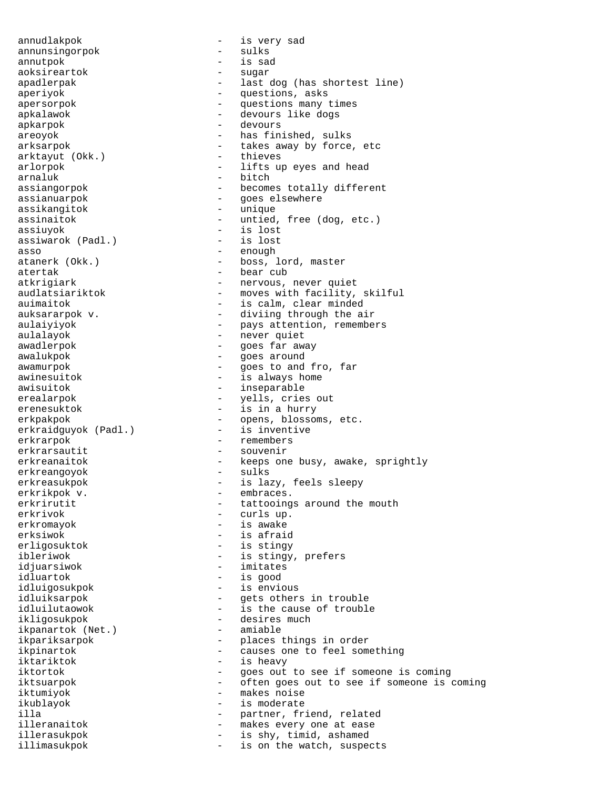annunsingorpok annutpok - is sad aoksireartok - sugar apkarpok - devours arktayut (Okk.) arnaluk - bitch assikangitok assiuyok - is lost assiwarok (Padl.) asso - enough atanerk (Okk.) - enough - enough - boss, l erkraidguyok (Padl.) erkrarpok - remembers erkrarsautit - souvenir erkreangoyok erkrikpok v. <br/> - embraces. <br/> - embraces. <br/> - <br/> - embraces. <br/> - <br/> - <br/> - <br/> - <br/> - <br/> - <br/> - <br/> - <br/> - <br/> - <br/> - <br/> - <br/> - <br/> - <br/> - <br/> - <br/> - - + + + + + erkrivok - curls up. erksiwok - is afraid erligosuktok - is stingy idjuarsiwok - imitates idluartok - is good ikpanartok (Net.) iktariktok - is heavy illimasukpok - is on the watch, suspects

annudlakpok - is very sad apadlerpak - last dog (has shortest line) aperiyok - questions, asks apersorpok  $-$  questions many times apkalawok - devours like dogs areoyok - has finished, sulks arksarpok - takes away by force, etc<br>
arktavut (Okk.) - thieves arlorpok - lifts up eyes and head assiangorpok - becomes totally different assianuarpok - goes elsewhere assinaitok - untied, free (dog, etc.) atanerk (Okk.) - boss, lord, master<br>atertak - bear cub - bear cub atkrigiark - nervous, never quiet<br>audlatsiariktok - moves with facility, - moves with facility, skilful auimaitok - is calm, clear minded auksararpok v.  $\qquad \qquad$  - diviing through the air aulaiyiyok - pays attention, remembers aulalayok - never quiet awadlerpok - goes far away awalukpok - goes around awamurpok  $-$  goes to and fro, far awinesuitok  $-$  is always home awisuitok - inseparable erealarpok - yells, cries out erenesuktok  $-$  is in a hurry erkpakpok - opens, blossoms, etc.<br>erkraidquyok (Padl.) - is inventive erkreanaitok - keeps one busy, awake, sprightly erkreanqoyok - sulks erkreasukpok - is lazy, feels sleepy erkrirutit - tattooings around the mouth erkrivok - curls up. - is awake ibleriwok - is stingy, prefers idluigosukpok - is envious idluiksarpok - ets others in trouble idluilutaowok - is the cause of trouble ikligosukpok - desires much ikpariksarpok - places things in order<br>ikpinartok - causes one to feel some causes one to feel something iktortok end a see if someone is coming iktsuarpok end a see if someone is coming that the set often goes out to see if someone is coming iktumiyok - makes noise ikublayok - is moderate illa - partner, friend, related<br>illeranaitok - makes every one at ease makes every one at ease illerasukpok - is shy, timid, ashamed<br>illimasukpok - is on the watch susper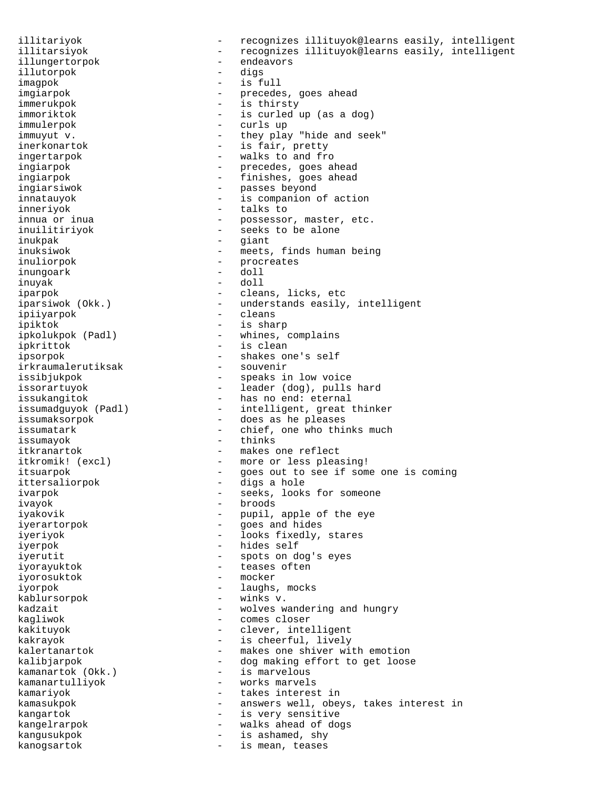illitariyok - recognizes illituyok@learns easily, intelligent illitarsiyok - recognizes illituyok@learns easily, intelligent illungertorpok - endeavors<br>illutorpok - digs illutorpok imagpok - is full imgiarpok  $-$  precedes, goes ahead immerukpok - is thirsty immoriktok - is curled up (as a dog)<br>immulerpok - curls up - curls up - curls up immuyut v.  $\qquad \qquad -$  they play "hide and seek" inerkonartok - is fair, pretty ingertarpok - walks to and fro ingiarpok  $-$  precedes, goes ahead ingiarpok - finishes, goes ahead ingiarsiwok - passes beyond innatauyok - is companion of action inneriyok - talks to innua or inua entitled and the set of the possessor, master, etc. inuilitiriyok - seeks to be alone inukpak - giant - giant<br>inuksiwok - meets inuksiwok - meets, finds human being<br>inuliorpok - procreates - procreates<br>- doll inungoark inuyak - doll - cleans, licks, etc iparsiwok (Okk.) - understands easily, intelligent ipiiyarpok - cleans ipiktok - is sharp - whines, complains ipkrittok - is clean ipsorpok - shakes one's self irkraumalerutiksak issibjukpok - speaks in low voice issorartuyok - leader (dog), pulls hard issukangitok - has no end: eternal<br>issumadguyok (Padl) - intelligent, great - intelligent, great thinker issumaksorpok - does as he pleases issumatark  $\qquad \qquad -$  chief, one who thinks much issumayok - thinks itkranartok - makes one reflect itkromik! (excl) - more or less pleasing! itsuarpok - goes out to see if some one is coming ittersaliorpok - digs a hole ivarpok  $\overline{\phantom{a}}$  - seeks, looks for someone ivayok - broods iyakovik - pupil, apple of the eye iyerartorpok - goes and hides iyeriyok - looks fixedly, stares iyerpok - hides self iyerutit - spots on dog's eyes iyorayuktok - teases often iyorosuktok - mocker iyorpok - laughs, mocks kablursorpok - winks v. kadzait  $\qquad \qquad -$  wolves wandering and hungry kagliwok - comes closer kakituyok - clever, intelligent kakrayok - is cheerful, lively kalertanartok - makes one shiver with emotion kalibjarpok - dog making effort to get loose<br>kamanartok (Okk.) - is marvelous - is marvelous kamanartulliyok - works marvels kamariyok - takes interest in kamasukpok  $-$  answers well, obeys, takes interest in kangartok  $-$  is very sensitive kangelrarpok - walks ahead of dogs kangusukpok - is ashamed, shy kanogsartok  $-$  is mean, teases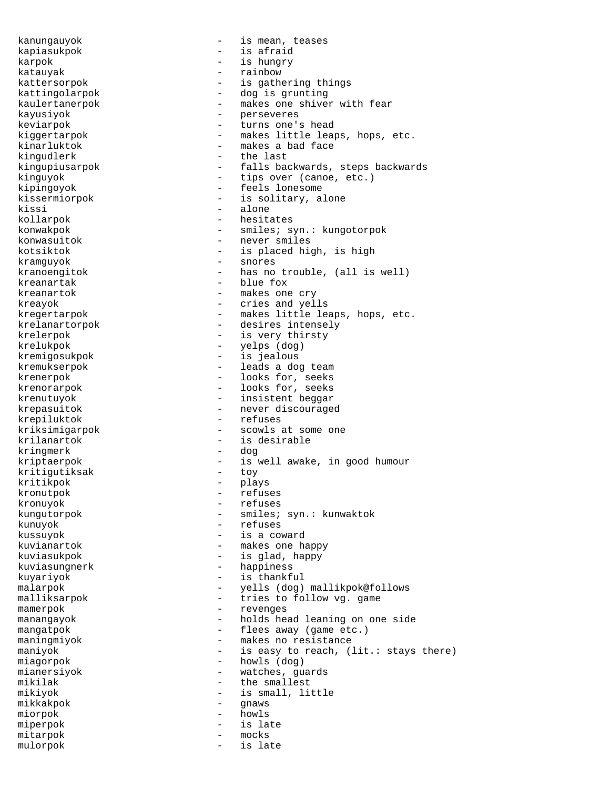kanungauyok - is mean, teases kapiasukpok - is afraid - is hungry katauyak - rainbow kattersorpok - is gathering things kattingolarpok - dog is grunting kaulertanerpok - makes one shiver with fear kayusiyok - perseveres - turns one's head kiggertarpok - makes little leaps, hops, etc. kinarluktok - makes a bad face<br>kingudlerk - the last - the last kingupiusarpok - falls backwards, steps backwards kinguyok - tips over (canoe, etc.) kipingoyok - feels lonesome kissermiorpok - is solitary, alone kissi – alone<br>kollarnok – hesita kollarpok - hesitates konwakpok - smiles; syn.: kungotorpok konwasuitok - never smiles kotsiktok - is placed high, is high kramguyok - snores kranoengitok - has no trouble, (all is well) kreanartak  $-$  blue fox kreanartok - makes one cry kreayok - cries and yells kregertarpok - makes little leaps, hops, etc. krelanartorpok - desires intensely krelerpok - is very thirsty krelukpok - yelps (dog) kremigosukpok - is jealous kremukserpok - leads a dog team krenerpok - looks for, seeks krenorarpok - looks for, seeks krenutuyok - insistent beggar<br>krepasuitok - hever discourage - never discouraged krepiluktok - refuses kriksimigarpok - scowls at some one krilanartok - is desirable<br>kringmerk - dog - dog kringmerk kriptaerpok - is well awake, in good humour<br>kritiqutiksak - toy kritigutiksak – toward – toward – toward – toward – toward – toward – toward – toward – toward – toward – toward – toward – toward – toward – toward – toward – toward – toward – toward – toward – toward – toward – toward – kritikpok - plays kronutpok - refuses kronuyok - refuses kungutorpok - smiles; syn.: kunwaktok kunuyok - refuses kussuyok - is a coward kuvianartok - makes one happy kuviasukpok - is glad, happy kuviasungnerk - happiness kuyariyok - is thankful malarpok - yells (dog) mallikpok@follows malliksarpok - tries to follow vg. game mamerpok - revenges manangayok - holds head leaning on one side mangatpok  $-$  flees away (game etc.) maningmiyok - makes no resistance maniyok - is easy to reach, (lit.: stays there) miagorpok - howls (dog) mianersiyok - watches, guards mikilak - the smallest mikiyok - is small, little mikkakpok - gnaws miorpok - howls miperpok - is late<br>mitarpok - mocks mitarpok – mocks<br>mulorpok – is late mulorpok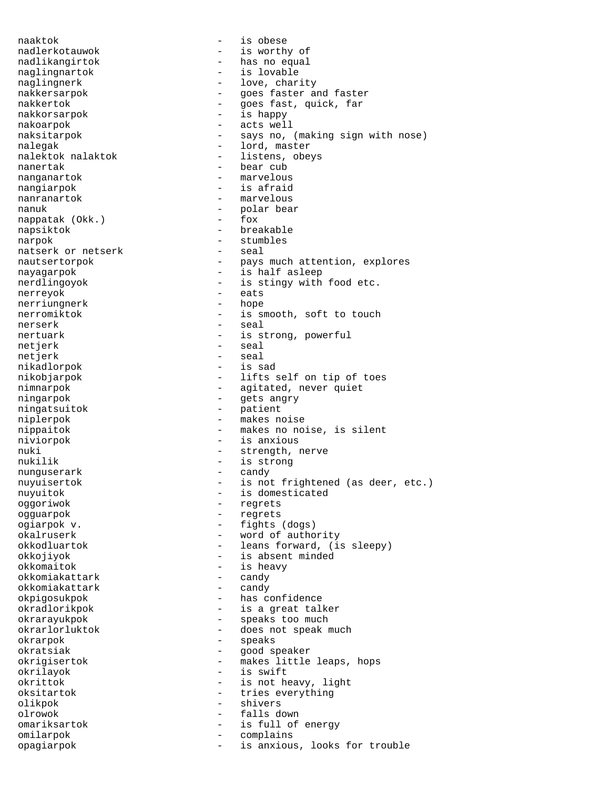naaktok - is obese nadlerkotauwok - is worthy of nadlikangirtok - has no equal naglingnartok - is lovable naglingnerk - love, charity nakkersarpok - goes faster and faster nakkertok - goes fast, quick, far nakkorsarpok - is happy nakoarpok - acts well naksitarpok - says no, (making sign with nose) nalegak - lord, master<br>nalektok nalaktok - listens, obeys nalektok nalaktok nanertak - bear cub nanganartok - marvelous nangiarpok - is afraid - marvelous nanuk - polar bear<br>nappatak (Okk.) - fox - fox nappatak (Okk.) napsiktok - breakable narpok - stumbles natserk or netserk<br>nautsertorpok - pays much attention, explores nayagarpok  $\overline{\phantom{a}}$  - is half asleep nerdlingoyok - is stingy with food etc.<br>
nerrevok - eats nerreyok - eats nerriungnerk nerromiktok - is smooth, soft to touch nerserk - seal - seal - seal nertuark - is strong, powerful netjerk - seal<br>netjerk - seal<br>- seal netjerk - seal<br>nikadlorpok - is sad nikadlorpok nikobjarpok - lifts self on tip of toes<br>nimnarpok - agitated, never quiet - agitated, never quiet ningarpok - gets angry ningatsuitok - patient niplerpok - makes noise nippaitok - makes no noise, is silent niviorpok - is anxious nuki - strength, nerve nukilik - is strong nunguserark - candy nuyuisertok - is not frightened (as deer, etc.) nuyuitok  $-$  is domesticated oggoriwok - regrets ogguarpok - regrets ogiarpok v. - fights (dogs) okalruserk - word of authority okkodluartok - leans forward, (is sleepy) okkojiyok - is absent minded okkomaitok - is heavy bkomiakattark - is heavy - candy okkomiakattark - candy<br>okkomiakattark - candy okkomiakattark okpigosukpok - has confidence okradlorikpok - is a great talker okrarayukpok - speaks too much okrarlorluktok - does not speak much okrarpok - speaks okratsiak - good speaker okrigisertok - makes little leaps, hops okrilayok - is swift - is not heavy, light oksitartok - tries everything olikpok - shivers olrowok - falls down omariksartok - is full of energy<br>omilarpok - complains omilarpok - complains opagiarpok - is anxious, looks for trouble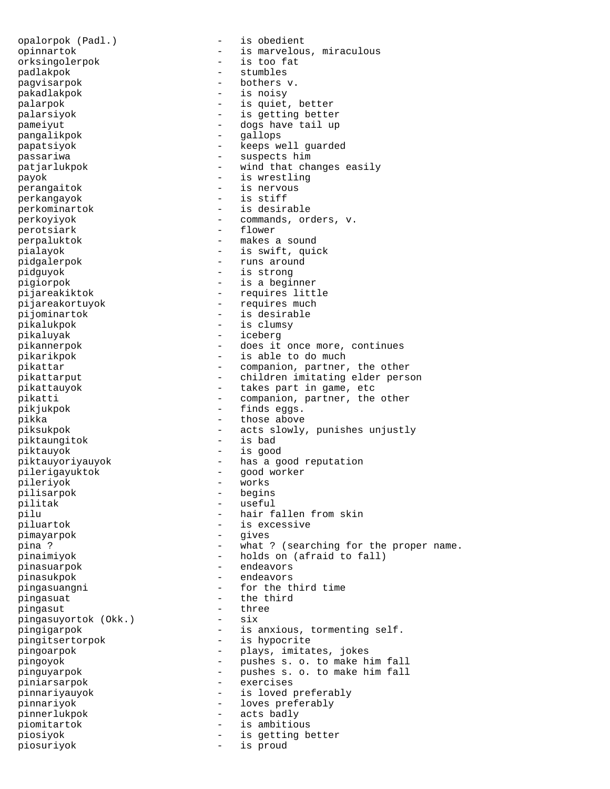opalorpok (Padl.) - is obedient opinnartok - is marvelous, miraculous orksingolerpok - is too fat padlakpok - stumbles -<br>pagvisarpok - bothers v. pakadlakpok - is noisy palarpok - is quiet, better palarsiyok - is getting better pameiyut - dogs have tail up pangalikpok - gallops papatsiyok - keeps well guarded passariwa - suspects him<br>
patjarlukpok - wind that cha - wind that changes easily payok - is wrestling perangaitok - is nervous<br>
perkangayok - is stiff perkangayok is stifte that the state of  $\sim$ perkominartok - is desirable perkoyiyok - commands, orders, v. perotsiark perpaluktok - makes a sound pialayok - is swift, quick pidgalerpok - runs around pidguyok - is strong pigiorpok - is a beginner pijareakiktok - requires little pijareakortuyok - requires much pijominartok - is desirable pikalukpok - is clumsy pikaluyak - iceberg pikannerpok - does it once more, continues pikarikpok - is able to do much pikattar - companion, partner, the other pikattarput - children imitating elder person pikattauyok - takes part in game, etc pikatti - companion, partner, the other pikjukpok - finds eggs. - those above piksukpok - acts slowly, punishes unjustly piktaungitok piktauyok - is good piktauyoriyauyok - has a good reputation pilerigayuktok - good worker pileriyok -<br>pilisarpok - begins pilitak - useful pilu - hair fallen from skin<br>piluartok - is excessive - is excessive<br>- qives pimayarpok pina ? - what ? (searching for the proper name. pinaimiyok - holds on (afraid to fall) pinasuarpok - endeavors pinasukpok - endeavors pingasuangni - for the third time pingasuat - the third<br>pingasut - three - three pingasut - three pingasut - three pingasuyortok (Okk.) - six pingasuyortok (Okk.) pingigarpok - is anxious, tormenting self. pingitsertorpok - is hypocrite pingoarpok - plays, imitates, jokes pingoyok - pushes s. o. to make him fall pinguyarpok - pushes s. o. to make him fall piniarsarpok - exercises pinnariyauyok - is loved preferably pinnariyok - loves preferably pinnerlukpok - acts badly piomitartok - is ambitious piosiyok - is getting better piosuriyok - is proud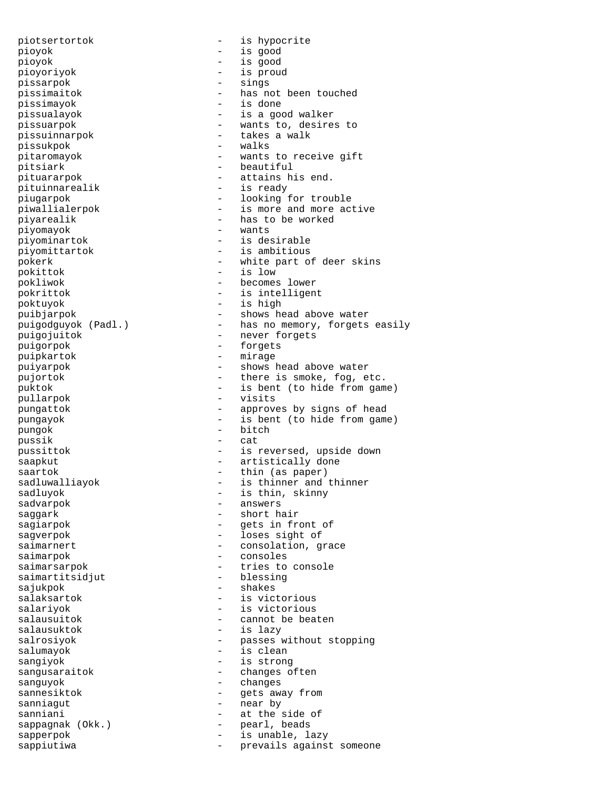piotsertortok - is hypocrite pioyok - is good pioyok - is good pioyoriyok - is proud pissarpok - sings<br>nissimaitok - has nu pissimayok - is done pissuinnarpok - takes a walk pissukpok - walks pitsiark - beautiful pituinnarealik - is ready piyomayok piyominartok - is desirable piyomittartok - is ambitious pokittok - is low poktuyok - is high puigorpok - forgets puipkartok - mirage pullarpok - visits pungok - bitch pussik - cat sadvarpok - answers saggark - short hair saimarpok - consoles saimartitsidjut - blessing sajukpok - shakes salausuktok - is lazy salumayok - is clean sangiyok - is strong sanguyok - changes sanniagut - near by sappagnak (Okk.)

pissimaitok - has not been touched pissualayok - is a good walker pissuarpok - wants to, desires to pitaromayok - wants to receive gift pituararpok - attains his end. piugarpok - looking for trouble piwallialerpok - is more and more active piyarealik - has to be worked<br>piyomavok - wants pokerk - white part of deer skins pokliwok - becomes lower pokrittok - is intelligent puibjarpok  $-$  shows head above water<br>puigodguyok (Padl.)  $-$  has no memory, forgets - has no memory, forgets easily puigojuitok - never forgets puiyarpok - shows head above water pujortok  $-$  there is smoke, fog, etc. puktok - is bent (to hide from game) pungattok - approves by signs of head pungayok - is bent (to hide from game) pussittok - is reversed, upside down saapkut - artistically done saartok - thin (as paper) sadluwalliayok - is thinner and thinner sadluyok - is thin, skinny sagiarpok  $-$  gets in front of saqverpok - loses sight of saimarnert - consolation, grace saimarsarpok - tries to console salaksartok  $-$  is victorious salariyok - is victorious salausuitok  $-$  cannot be beaten salrosiyok - passes without stopping sangusaraitok - changes often sannesiktok - gets away from sanniani - at the side of<br>sappagnak (Okk.) - - - - - - - - - - - - pearl, beads sapperpok  $-$  is unable, lazy sappiutiwa  $\qquad \qquad -$  prevails against someone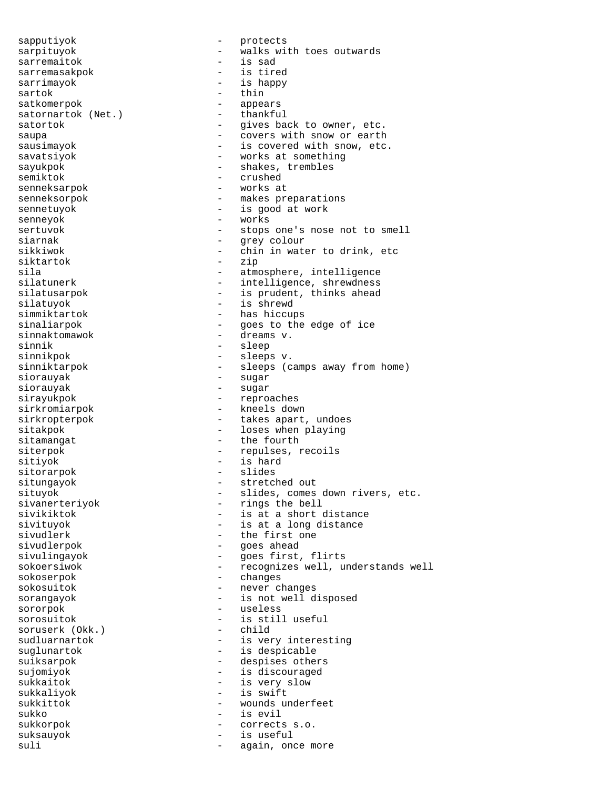sapputiyok - protects sarpituyok - walks with toes outwards sarremaitok - is sad sarremasakpok - is tired sarrimayok - is happy sartok - thin sartok - think the satisfied of the satisfied of the same state of the same state of the same state of the same state of the same state of the same state of the same state of the same state of the same state of the same st - appears<br>- thankful satornartok (Net.) satortok - gives back to owner, etc. saupa - covers with snow or earth sausimayok - is covered with snow, etc. savatsiyok - works at something sayukpok - shakes, trembles semiktok - crushed senneksarpok - works at senneksorpok - makes preparations sennetuyok  $-$  is good at work senneyok - works sertuvok - stops one's nose not to smell siarnak - grey colour - chin in water to drink, etc<br>- zip siktartok sila - atmosphere, intelligence - intelligence, shrewdness silatusarpok - is prudent, thinks ahead silatuyok - is shrewd simmiktartok - has hiccups sinaliarpok - goes to the edge of ice sinnaktomawok  $-$  dreams v. sinnik - sleep sinnikpok - sleeps v. sinniktarpok - sleeps (camps away from home) siorauyak - sugar - sugar<br>siorauyak - sugar - sugar - sugar sirayukpok - reproaches sirkromiarpok  $-$  kneels down sirkropterpok - takes apart, undoes sitakpok - loses when playing sitamangat - the fourth siterpok - repulses, recoils sitiyok - is hard sitorarpok - slides situngayok - stretched out situyok - slides, comes down rivers, etc.<br>sivanerteriyok - rings the bell - rings the bell sivikiktok - is at a short distance<br>sivituyok - is at a long distance - is at a long distance sivudlerk - the first one sivudlerpok - goes ahead sivulingayok - goes first, flirts sokoersiwok - recognizes well, understands well sokoserpok - changes sokosuitok - never changes sorangayok - is not well disposed<br>sorornok - useless sororpok – useless<br>sorosuitok – is stil sorosuitok - is still useful soruserk (Okk.) - child soruserk (Okk.) sudluarnartok  $-$  is very interesting suglunartok  $-$  is despicable suiksarpok - despises others sujomiyok - is discouraged sukkaitok  $-$  is very slow sukkaliyok - is swift sukkittok - wounds underfeet sukko - is evil sukkorpok  $-$  corrects s.o. suksauyok - is useful suli - again, once more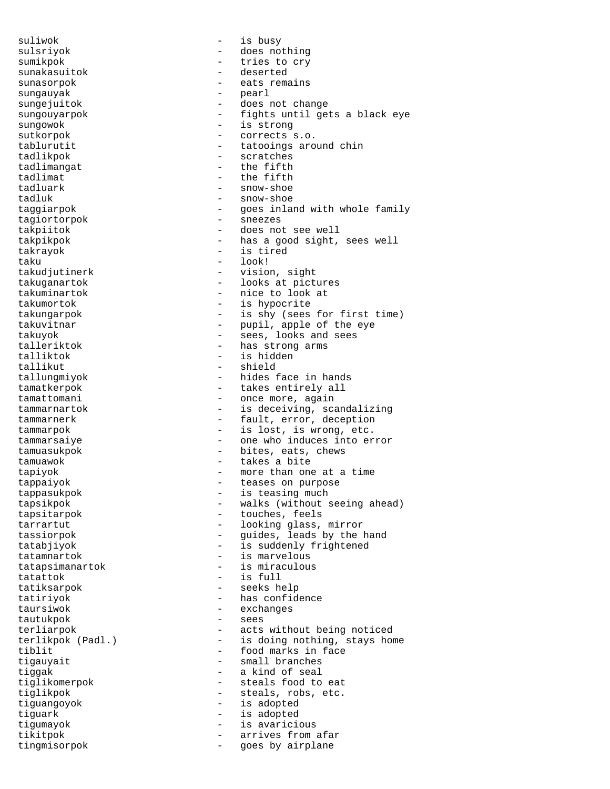suliwok  $-$  is busy sunakasuitok sungauyak  $-$  pearl sungowok - is strong tadlikpok - scratches tadlimangat  $-$  the fifth tadlimat  $-$  the fifth tadluark - snow-shoe tadluk - snow-shoe tagiortorpok - sneezes takrayok - is tired taku - look! talliktok - is hidden tallikut - shield<br>tallungmiyok - hides i tatattok - is full taursiwok - exchanges tautukpok tingmisorpok - goes by airplane

sulsriyok - does nothing sumikpok - tries to cry sunasorpok en eats remains sungejuitok - does not change sungouyarpok - fights until gets a black eye sutkorpok - corrects s.o. - tatooings around chin taggiarpok - goes inland with whole family takpiitok - does not see well takpikpok - has a good sight, sees well takudjutinerk - vision, sight takuganartok - looks at pictures takuminartok - nice to look at takumortok - is hypocrite takungarpok - is shy (sees for first time) takuvitnar - pupil, apple of the eye takuyok - sees, looks and sees talleriktok  $-$  has strong arms - hides face in hands tamatkerpok  $-$  takes entirely all tamattomani - once more, again tammarnartok - is deceiving, scandalizing tammarnerk - fault, error, deception tammarpok - is lost, is wrong, etc. tammarsaiye - one who induces into error tamuasukpok - bites, eats, chews tamuawok - takes a bite tapiyok - more than one at a time tappaiyok - teases on purpose tappasukpok - is teasing much tapsikpok - walks (without seeing ahead) tapsitarpok - touches, feels tarrartut - looking glass, mirror tassiorpok - guides, leads by the hand tatabjiyok - is suddenly frightened tatamnartok - is marvelous tatapsimanartok - is miraculous tatiksarpok - seeks help tatiriyok  $-$  has confidence terliarpok - acts without being noticed<br>terlikpok (Padl.) - is doing nothing, stays ho terlikpok (Padl.) - is doing nothing, stays home<br>tiblit - food marks in face tiblit<br>tigauyait - food marks in face<br>and the small branches - small branches tiggak  $-$  a kind of seal tiglikomerpok - steals food to eat tiglikpok - steals, robs, etc. tiguangoyok - is adopted tiguark - is adopted tigumayok - is avaricious tikitpok - arrives from afar<br>tinomisorpok - and - goes by airplane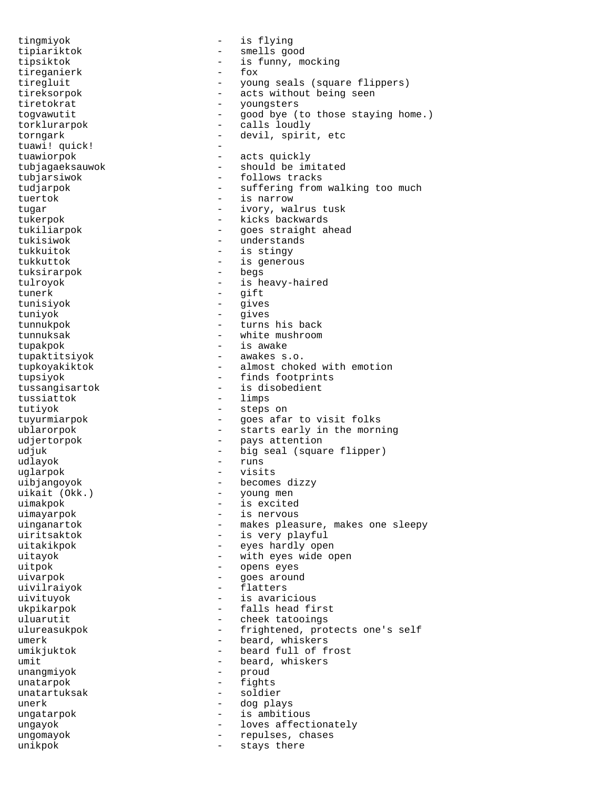tingmiyok - is flying tipiariktok - smells good tipsiktok - is funny, mocking tireganierk tiregluit - young seals (square flippers) tireksorpok - acts without being seen tiretokrat - youngsters<br>tooxayyutit - cood bye (1) togvawutit - good bye (to those staying home.) torklurarpok - calls loudly<br>torngark - devil spirit torngark - devil, spirit, etc<br>tuawil quickl tuawi! quick! tuawiorpok - acts quickly tubjagaeksauwok - should be imitated tubjarsiwok - follows tracks tudjarpok - suffering from walking too much tuertok - is narrow tugar - ivory, walrus tusk tukerpok - kicks backwards tukiliarpok - goes straight ahead tukisiwok - understands tukkuitok - is stingy tukkuttok - is generous tuksirarpok tulroyok - is heavy-haired tunerk - gift tunisiyok - gives tuniyok - gives tunnukpok - turns his back tunnuksak - white mushroom tupakpok - is awake tupaktitsiyok - awakes s.o. tupkoyakiktok - almost choked with emotion tupsiyok - finds footprints tussangisartok - is disobedient<br>tussiattok - limps tussiattok tutiyok - steps on tuyurmiarpok - goes afar to visit folks<br>ublarorpok - starts early in the morn - starts early in the morning udjertorpok - pays attention udjuk - big seal (square flipper) udlayok - runs uglarpok - visits uibjangoyok - becomes dizzy uikait (Okk.) - young men uimakpok - is excited uimayarpok - is nervous uinganartok - makes pleasure, makes one sleepy uiritsaktok - is very playful uitakikpok  $-$  eyes hardly open uitayok - with eyes wide open uitpok - opens eyes uivarpok - goes around uivilraiyok - flatters uivituyok - is avaricious ukpikarpok - falls head first uluarutit - cheek tatooings ulureasukpok - frightened, protects one's self umerk - beard, whiskers - beard full of frost umit  $-$  beard, whiskers unangmiyok - proud unatarpok - fights unatartuksak - soldier unerk - dog plays ungatarpok  $-$  is ambitious ungayok - loves affectionately ungomayok - repulses, chases unikpok - stays there